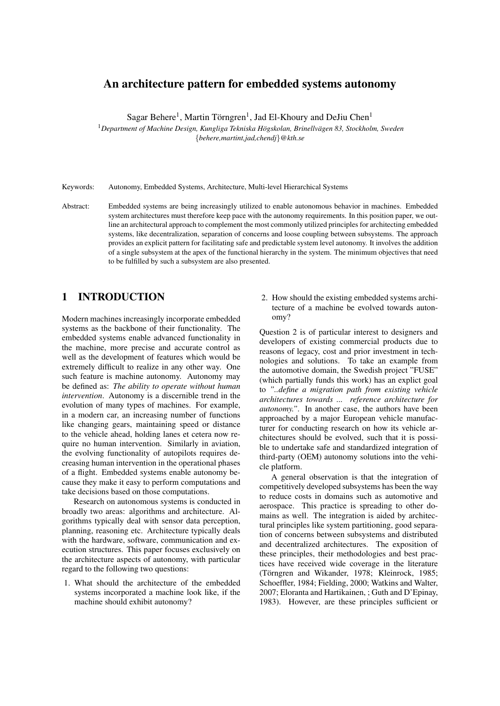# An architecture pattern for embedded systems autonomy

Sagar Behere<sup>1</sup>, Martin Törngren<sup>1</sup>, Jad El-Khoury and DeJiu Chen<sup>1</sup>

<sup>1</sup>Department of Machine Design, Kungliga Tekniska Högskolan, Brinellvägen 83, Stockholm, Sweden {*behere,martint,jad,chendj*}*@kth.se*

Keywords: Autonomy, Embedded Systems, Architecture, Multi-level Hierarchical Systems

Abstract: Embedded systems are being increasingly utilized to enable autonomous behavior in machines. Embedded system architectures must therefore keep pace with the autonomy requirements. In this position paper, we outline an architectural approach to complement the most commonly utilized principles for architecting embedded systems, like decentralization, separation of concerns and loose coupling between subsystems. The approach provides an explicit pattern for facilitating safe and predictable system level autonomy. It involves the addition of a single subsystem at the apex of the functional hierarchy in the system. The minimum objectives that need to be fulfilled by such a subsystem are also presented.

## 1 INTRODUCTION

Modern machines increasingly incorporate embedded systems as the backbone of their functionality. The embedded systems enable advanced functionality in the machine, more precise and accurate control as well as the development of features which would be extremely difficult to realize in any other way. One such feature is machine autonomy. Autonomy may be defined as: *The ability to operate without human intervention*. Autonomy is a discernible trend in the evolution of many types of machines. For example, in a modern car, an increasing number of functions like changing gears, maintaining speed or distance to the vehicle ahead, holding lanes et cetera now require no human intervention. Similarly in aviation, the evolving functionality of autopilots requires decreasing human intervention in the operational phases of a flight. Embedded systems enable autonomy because they make it easy to perform computations and take decisions based on those computations.

Research on autonomous systems is conducted in broadly two areas: algorithms and architecture. Algorithms typically deal with sensor data perception, planning, reasoning etc. Architecture typically deals with the hardware, software, communication and execution structures. This paper focuses exclusively on the architecture aspects of autonomy, with particular regard to the following two questions:

1. What should the architecture of the embedded systems incorporated a machine look like, if the machine should exhibit autonomy?

2. How should the existing embedded systems architecture of a machine be evolved towards autonomy?

Question 2 is of particular interest to designers and developers of existing commercial products due to reasons of legacy, cost and prior investment in technologies and solutions. To take an example from the automotive domain, the Swedish project "FUSE" (which partially funds this work) has an explict goal to *"..define a migration path from existing vehicle architectures towards ... reference architecture for autonomy."*. In another case, the authors have been approached by a major European vehicle manufacturer for conducting research on how its vehicle architectures should be evolved, such that it is possible to undertake safe and standardized integration of third-party (OEM) autonomy solutions into the vehicle platform.

A general observation is that the integration of competitively developed subsystems has been the way to reduce costs in domains such as automotive and aerospace. This practice is spreading to other domains as well. The integration is aided by architectural principles like system partitioning, good separation of concerns between subsystems and distributed and decentralized architectures. The exposition of these principles, their methodologies and best practices have received wide coverage in the literature (Törngren and Wikander, 1978; Kleinrock, 1985; Schoeffler, 1984; Fielding, 2000; Watkins and Walter, 2007; Eloranta and Hartikainen, ; Guth and D'Epinay, 1983). However, are these principles sufficient or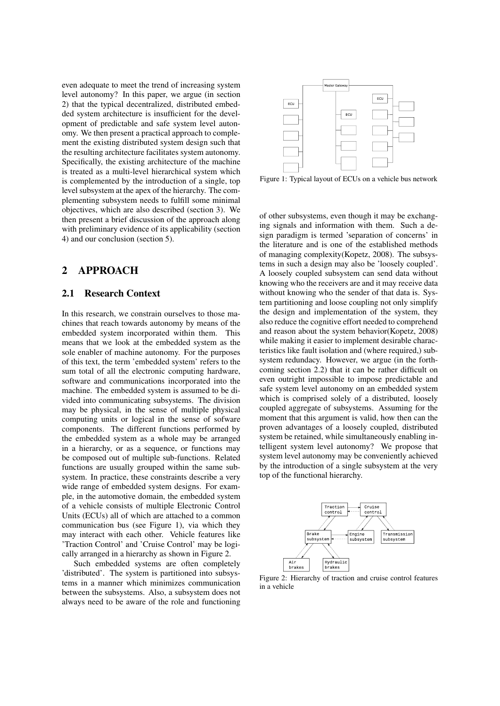even adequate to meet the trend of increasing system level autonomy? In this paper, we argue (in section 2) that the typical decentralized, distributed embedded system architecture is insufficient for the development of predictable and safe system level autonomy. We then present a practical approach to complement the existing distributed system design such that the resulting architecture facilitates system autonomy. Specifically, the existing architecture of the machine is treated as a multi-level hierarchical system which is complemented by the introduction of a single, top level subsystem at the apex of the hierarchy. The complementing subsystem needs to fulfill some minimal objectives, which are also described (section 3). We then present a brief discussion of the approach along with preliminary evidence of its applicability (section 4) and our conclusion (section 5).

# 2 APPROACH

### 2.1 Research Context

In this research, we constrain ourselves to those machines that reach towards autonomy by means of the embedded system incorporated within them. This means that we look at the embedded system as the sole enabler of machine autonomy. For the purposes of this text, the term 'embedded system' refers to the sum total of all the electronic computing hardware, software and communications incorporated into the machine. The embedded system is assumed to be divided into communicating subsystems. The division may be physical, in the sense of multiple physical computing units or logical in the sense of sofware components. The different functions performed by the embedded system as a whole may be arranged in a hierarchy, or as a sequence, or functions may be composed out of multiple sub-functions. Related functions are usually grouped within the same subsystem. In practice, these constraints describe a very wide range of embedded system designs. For example, in the automotive domain, the embedded system of a vehicle consists of multiple Electronic Control Units (ECUs) all of which are attached to a common communication bus (see Figure 1), via which they may interact with each other. Vehicle features like 'Traction Control' and 'Cruise Control' may be logically arranged in a hierarchy as shown in Figure 2.

Such embedded systems are often completely 'distributed'. The system is partitioned into subsystems in a manner which minimizes communication between the subsystems. Also, a subsystem does not always need to be aware of the role and functioning



Figure 1: Typical layout of ECUs on a vehicle bus network

of other subsystems, even though it may be exchanging signals and information with them. Such a design paradigm is termed 'separation of concerns' in the literature and is one of the established methods of managing complexity(Kopetz, 2008). The subsystems in such a design may also be 'loosely coupled'. A loosely coupled subsystem can send data without knowing who the receivers are and it may receive data without knowing who the sender of that data is. System partitioning and loose coupling not only simplify the design and implementation of the system, they also reduce the cognitive effort needed to comprehend and reason about the system behavior(Kopetz, 2008) while making it easier to implement desirable characteristics like fault isolation and (where required,) subsystem redundacy. However, we argue (in the forthcoming section 2.2) that it can be rather difficult on even outright impossible to impose predictable and safe system level autonomy on an embedded system which is comprised solely of a distributed, loosely coupled aggregate of subsystems. Assuming for the moment that this argument is valid, how then can the proven advantages of a loosely coupled, distributed system be retained, while simultaneously enabling intelligent system level autonomy? We propose that system level autonomy may be conveniently achieved by the introduction of a single subsystem at the very top of the functional hierarchy.



Figure 2: Hierarchy of traction and cruise control features in a vehicle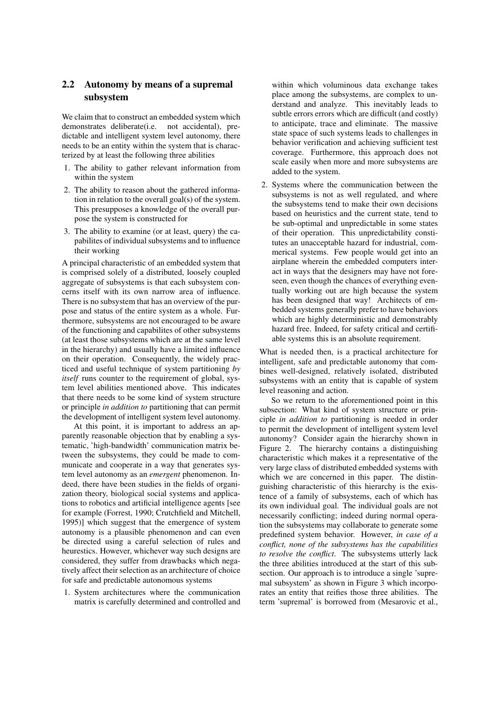# 2.2 Autonomy by means of a supremal subsystem

We claim that to construct an embedded system which demonstrates deliberate(i.e. not accidental), predictable and intelligent system level autonomy, there needs to be an entity within the system that is characterized by at least the following three abilities

- 1. The ability to gather relevant information from within the system
- 2. The ability to reason about the gathered information in relation to the overall goal(s) of the system. This presupposes a knowledge of the overall purpose the system is constructed for
- 3. The ability to examine (or at least, query) the capabilites of individual subsystems and to influence their working

A principal characteristic of an embedded system that is comprised solely of a distributed, loosely coupled aggregate of subsystems is that each subsystem concerns itself with its own narrow area of influence. There is no subsystem that has an overview of the purpose and status of the entire system as a whole. Furthermore, subsystems are not encouraged to be aware of the functioning and capabilites of other subsystems (at least those subsystems which are at the same level in the hierarchy) and usually have a limited influence on their operation. Consequently, the widely practiced and useful technique of system partitioning *by itself* runs counter to the requirement of global, system level abilities mentioned above. This indicates that there needs to be some kind of system structure or principle *in addition to* partitioning that can permit the development of intelligent system level autonomy.

At this point, it is important to address an apparently reasonable objection that by enabling a systematic, 'high-bandwidth' communication matrix between the subsystems, they could be made to communicate and cooperate in a way that generates system level autonomy as an *emergent* phenomenon. Indeed, there have been studies in the fields of organization theory, biological social systems and applications to robotics and artificial intelligence agents [see for example (Forrest, 1990; Crutchfield and Mitchell, 1995)] which suggest that the emergence of system autonomy is a plausible phenomenon and can even be directed using a careful selection of rules and heurestics. However, whichever way such designs are considered, they suffer from drawbacks which negatively affect their selection as an architecture of choice for safe and predictable autonomous systems

1. System architectures where the communication matrix is carefully determined and controlled and within which voluminous data exchange takes place among the subsystems, are complex to understand and analyze. This inevitably leads to subtle errors errors which are difficult (and costly) to anticipate, trace and eliminate. The massive state space of such systems leads to challenges in behavior verification and achieving sufficient test coverage. Furthermore, this approach does not scale easily when more and more subsystems are added to the system.

2. Systems where the communication between the subsystems is not as well regulated, and where the subsystems tend to make their own decisions based on heuristics and the current state, tend to be sub-optimal and unpredictable in some states of their operation. This unpredictability constitutes an unacceptable hazard for industrial, commerical systems. Few people would get into an airplane wherein the embedded computers interact in ways that the designers may have not foreseen, even though the chances of everything eventually working out are high because the system has been designed that way! Architects of embedded systems generally prefer to have behaviors which are highly deterministic and demonstrably hazard free. Indeed, for safety critical and certifiable systems this is an absolute requirement.

What is needed then, is a practical architecture for intelligent, safe and predictable autonomy that combines well-designed, relatively isolated, distributed subsystems with an entity that is capable of system level reasoning and action.

So we return to the aforementioned point in this subsection: What kind of system structure or principle *in addition to* partitioning is needed in order to permit the development of intelligent system level autonomy? Consider again the hierarchy shown in Figure 2. The hierarchy contains a distinguishing characteristic which makes it a representative of the very large class of distributed embedded systems with which we are concerned in this paper. The distinguishing characteristic of this hierarchy is the existence of a family of subsystems, each of which has its own individual goal. The individual goals are not necessarily conflicting; indeed during normal operation the subsystems may collaborate to generate some predefined system behavior. However, *in case of a conflict, none of the subsystems has the capabilities to resolve the conflict*. The subsystems utterly lack the three abilities introduced at the start of this subsection. Our approach is to introduce a single 'supremal subsystem' as shown in Figure 3 which incorporates an entity that reifies those three abilities. The term 'supremal' is borrowed from (Mesarovic et al.,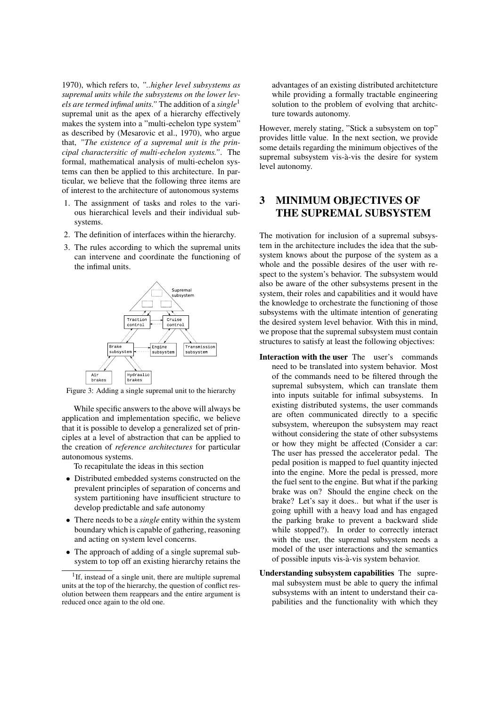1970), which refers to, *"..higher level subsystems as supremal units while the subsystems on the lower levels are termed infimal units."* The addition of a *single*<sup>1</sup> supremal unit as the apex of a hierarchy effectively makes the system into a "multi-echelon type system" as described by (Mesarovic et al., 1970), who argue that, *"The existence of a supremal unit is the principal charactersitic of multi-echelon systems."*. The formal, mathematical analysis of multi-echelon systems can then be applied to this architecture. In particular, we believe that the following three items are of interest to the architecture of autonomous systems

- 1. The assignment of tasks and roles to the various hierarchical levels and their individual subsystems.
- 2. The definition of interfaces within the hierarchy.
- 3. The rules according to which the supremal units can intervene and coordinate the functioning of the infimal units.



Figure 3: Adding a single supremal unit to the hierarchy

While specific answers to the above will always be application and implementation specific, we believe that it is possible to develop a generalized set of principles at a level of abstraction that can be applied to the creation of *reference architectures* for particular autonomous systems.

To recapitulate the ideas in this section

- Distributed embedded systems constructed on the prevalent principles of separation of concerns and system partitioning have insufficient structure to develop predictable and safe autonomy
- There needs to be a *single* entity within the system boundary which is capable of gathering, reasoning and acting on system level concerns.
- The approach of adding of a single supremal subsystem to top off an existing hierarchy retains the

advantages of an existing distributed architetcture while providing a formally tractable engineering solution to the problem of evolving that architcture towards autonomy.

However, merely stating, "Stick a subsystem on top" provides little value. In the next section, we provide some details regarding the minimum objectives of the supremal subsystem vis-à-vis the desire for system level autonomy.

# 3 MINIMUM OBJECTIVES OF THE SUPREMAL SUBSYSTEM

The motivation for inclusion of a supremal subsystem in the architecture includes the idea that the subsystem knows about the purpose of the system as a whole and the possible desires of the user with respect to the system's behavior. The subsystem would also be aware of the other subsystems present in the system, their roles and capabilities and it would have the knowledge to orchestrate the functioning of those subsystems with the ultimate intention of generating the desired system level behavior. With this in mind, we propose that the supremal subsystem must contain structures to satisfy at least the following objectives:

- Interaction with the user The user's commands need to be translated into system behavior. Most of the commands need to be filtered through the supremal subsystem, which can translate them into inputs suitable for infimal subsystems. In existing distributed systems, the user commands are often communicated directly to a specific subsystem, whereupon the subsystem may react without considering the state of other subsystems or how they might be affected (Consider a car: The user has pressed the accelerator pedal. The pedal position is mapped to fuel quantity injected into the engine. More the pedal is pressed, more the fuel sent to the engine. But what if the parking brake was on? Should the engine check on the brake? Let's say it does.. but what if the user is going uphill with a heavy load and has engaged the parking brake to prevent a backward slide while stopped?). In order to correctly interact with the user, the supremal subsystem needs a model of the user interactions and the semantics of possible inputs vis-a-vis system behavior. `
- Understanding subsystem capabilities The supremal subsystem must be able to query the infimal subsystems with an intent to understand their capabilities and the functionality with which they

<sup>&</sup>lt;sup>1</sup>If, instead of a single unit, there are multiple supremal units at the top of the hierarchy, the question of conflict resolution between them reappears and the entire argument is reduced once again to the old one.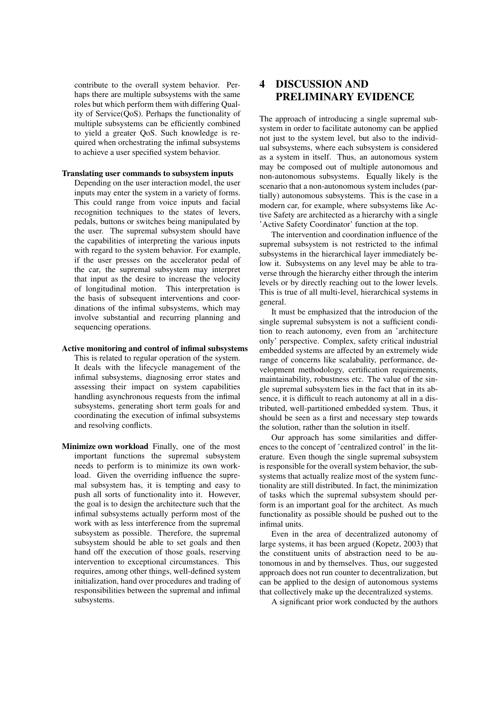contribute to the overall system behavior. Perhaps there are multiple subsystems with the same roles but which perform them with differing Quality of Service(QoS). Perhaps the functionality of multiple subsystems can be efficiently combined to yield a greater QoS. Such knowledge is required when orchestrating the infimal subsystems to achieve a user specified system behavior.

#### Translating user commands to subsystem inputs

Depending on the user interaction model, the user inputs may enter the system in a variety of forms. This could range from voice inputs and facial recognition techniques to the states of levers, pedals, buttons or switches being manipulated by the user. The supremal subsystem should have the capabilities of interpreting the various inputs with regard to the system behavior. For example, if the user presses on the accelerator pedal of the car, the supremal subsystem may interpret that input as the desire to increase the velocity of longitudinal motion. This interpretation is the basis of subsequent interventions and coordinations of the infimal subsystems, which may involve substantial and recurring planning and sequencing operations.

#### Active monitoring and control of infimal subsystems

This is related to regular operation of the system. It deals with the lifecycle management of the infimal subsystems, diagnosing error states and assessing their impact on system capabilities handling asynchronous requests from the infimal subsystems, generating short term goals for and coordinating the execution of infimal subsystems and resolving conflicts.

Minimize own workload Finally, one of the most important functions the supremal subsystem needs to perform is to minimize its own workload. Given the overriding influence the supremal subsystem has, it is tempting and easy to push all sorts of functionality into it. However, the goal is to design the architecture such that the infimal subsystems actually perform most of the work with as less interference from the supremal subsystem as possible. Therefore, the supremal subsystem should be able to set goals and then hand off the execution of those goals, reserving intervention to exceptional circumstances. This requires, among other things, well-defined system initialization, hand over procedures and trading of responsibilities between the supremal and infimal subsystems.

# 4 DISCUSSION AND PRELIMINARY EVIDENCE

The approach of introducing a single supremal subsystem in order to facilitate autonomy can be applied not just to the system level, but also to the individual subsystems, where each subsystem is considered as a system in itself. Thus, an autonomous system may be composed out of multiple autonomous and non-autonomous subsystems. Equally likely is the scenario that a non-autonomous system includes (partially) autonomous subsystems. This is the case in a modern car, for example, where subsystems like Active Safety are architected as a hierarchy with a single 'Active Safety Coordinator' function at the top.

The intervention and coordination influence of the supremal subsystem is not restricted to the infimal subsystems in the hierarchical layer immediately below it. Subsystems on any level may be able to traverse through the hierarchy either through the interim levels or by directly reaching out to the lower levels. This is true of all multi-level, hierarchical systems in general.

It must be emphasized that the introducion of the single supremal subsystem is not a sufficient condition to reach autonomy, even from an 'architecture only' perspective. Complex, safety critical industrial embedded systems are affected by an extremely wide range of concerns like scalabality, performance, development methodology, certification requirements, maintainability, robustness etc. The value of the single supremal subsystem lies in the fact that in its absence, it is difficult to reach autonomy at all in a distributed, well-partitioned embedded system. Thus, it should be seen as a first and necessary step towards the solution, rather than the solution in itself.

Our approach has some similarities and differences to the concept of 'centralized control' in the literature. Even though the single supremal subsystem is responsible for the overall system behavior, the subsystems that actually realize most of the system functionality are still distributed. In fact, the minimization of tasks which the supremal subsystem should perform is an important goal for the architect. As much functionality as possible should be pushed out to the infimal units.

Even in the area of decentralized autonomy of large systems, it has been argued (Kopetz, 2003) that the constituent units of abstraction need to be autonomous in and by themselves. Thus, our suggested approach does not run counter to decentralization, but can be applied to the design of autonomous systems that collectively make up the decentralized systems.

A significant prior work conducted by the authors